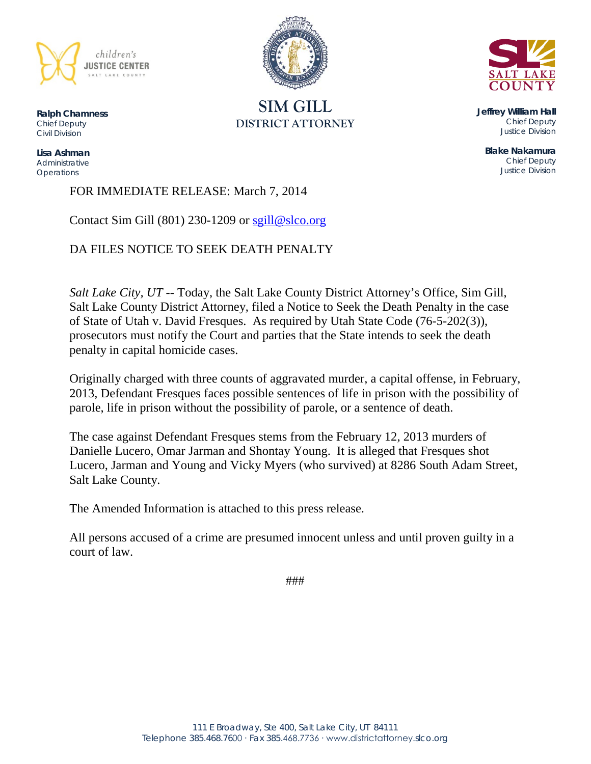



**SIM GILL DISTRICT ATTORNEY**

**Ralph Chamness**  *Chief Deputy Civil Division*

**Lisa Ashman** *Administrative Operations*

FOR IMMEDIATE RELEASE: March 7, 2014

Contact Sim Gill (801) 230-1209 or [sgill@slco.org](mailto:sgill@slco.org)

DA FILES NOTICE TO SEEK DEATH PENALTY

*Salt Lake City, UT* -- Today, the Salt Lake County District Attorney's Office, Sim Gill, Salt Lake County District Attorney, filed a Notice to Seek the Death Penalty in the case of State of Utah v. David Fresques. As required by Utah State Code (76-5-202(3)), prosecutors must notify the Court and parties that the State intends to seek the death penalty in capital homicide cases.

Originally charged with three counts of aggravated murder, a capital offense, in February, 2013, Defendant Fresques faces possible sentences of life in prison with the possibility of parole, life in prison without the possibility of parole, or a sentence of death.

The case against Defendant Fresques stems from the February 12, 2013 murders of Danielle Lucero, Omar Jarman and Shontay Young. It is alleged that Fresques shot Lucero, Jarman and Young and Vicky Myers (who survived) at 8286 South Adam Street, Salt Lake County.

The Amended Information is attached to this press release.

All persons accused of a crime are presumed innocent unless and until proven guilty in a court of law.

###

**Jeffrey William Hall** *Chief Deputy Justice Division*

**Blake Nakamura** *Chief Deputy Justice Division*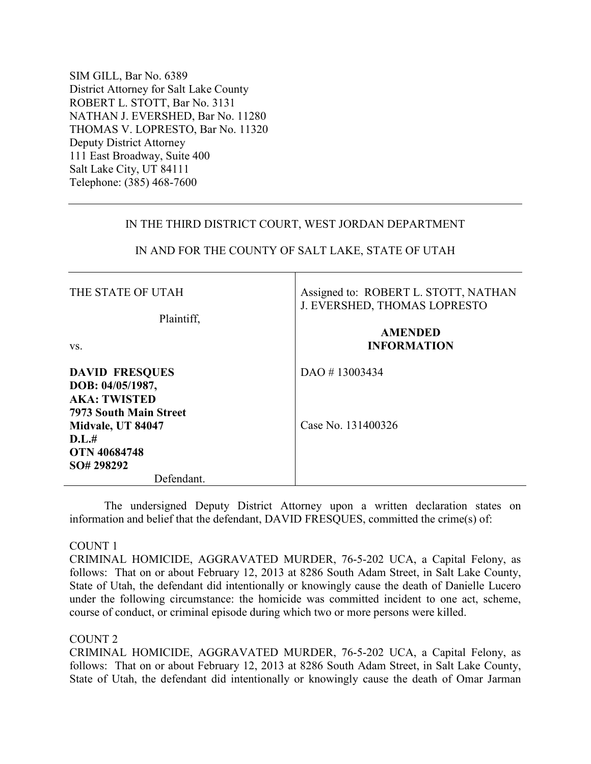SIM GILL, Bar No. 6389 District Attorney for Salt Lake County ROBERT L. STOTT, Bar No. 3131 NATHAN J. EVERSHED, Bar No. 11280 THOMAS V. LOPRESTO, Bar No. 11320 Deputy District Attorney 111 East Broadway, Suite 400 Salt Lake City, UT 84111 Telephone: (385) 468-7600

### IN THE THIRD DISTRICT COURT, WEST JORDAN DEPARTMENT

# IN AND FOR THE COUNTY OF SALT LAKE, STATE OF UTAH

Τ

| THE STATE OF UTAH                                                                          | Assigned to: ROBERT L. STOTT, NATHAN<br>J. EVERSHED, THOMAS LOPRESTO<br><b>AMENDED</b><br><b>INFORMATION</b> |  |
|--------------------------------------------------------------------------------------------|--------------------------------------------------------------------------------------------------------------|--|
| Plaintiff.<br>VS.                                                                          |                                                                                                              |  |
| <b>DAVID FRESQUES</b><br>DOB: 04/05/1987,<br><b>AKA: TWISTED</b><br>7973 South Main Street | DAO #13003434                                                                                                |  |
| Midvale, UT 84047<br>D.L.#<br><b>OTN 40684748</b><br>SO# 298292                            | Case No. 131400326                                                                                           |  |
| Defendant.                                                                                 |                                                                                                              |  |

The undersigned Deputy District Attorney upon a written declaration states on information and belief that the defendant, DAVID FRESQUES, committed the crime(s) of:

#### COUNT 1

CRIMINAL HOMICIDE, AGGRAVATED MURDER, 76-5-202 UCA, a Capital Felony, as follows: That on or about February 12, 2013 at 8286 South Adam Street, in Salt Lake County, State of Utah, the defendant did intentionally or knowingly cause the death of Danielle Lucero under the following circumstance: the homicide was committed incident to one act, scheme, course of conduct, or criminal episode during which two or more persons were killed.

## COUNT 2

CRIMINAL HOMICIDE, AGGRAVATED MURDER, 76-5-202 UCA, a Capital Felony, as follows: That on or about February 12, 2013 at 8286 South Adam Street, in Salt Lake County, State of Utah, the defendant did intentionally or knowingly cause the death of Omar Jarman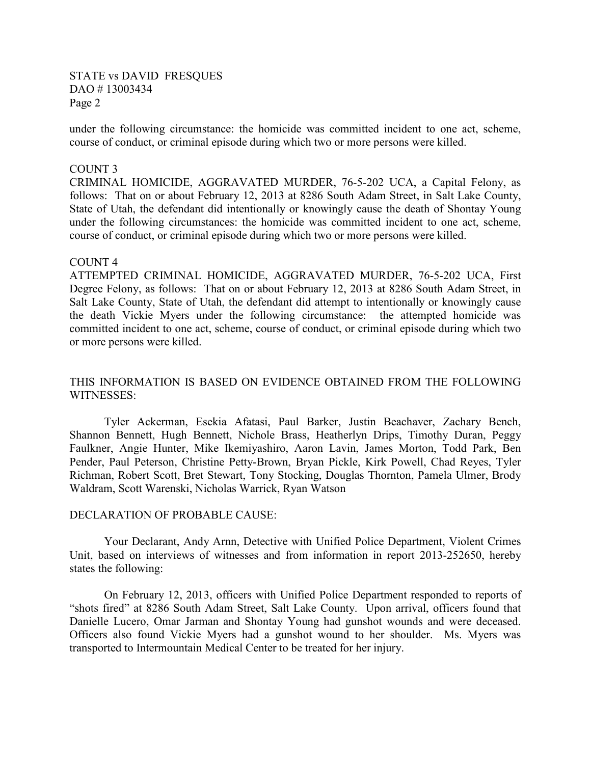### STATE vs DAVID FRESQUES DAO # 13003434 Page 2

under the following circumstance: the homicide was committed incident to one act, scheme, course of conduct, or criminal episode during which two or more persons were killed.

#### COUNT 3

CRIMINAL HOMICIDE, AGGRAVATED MURDER, 76-5-202 UCA, a Capital Felony, as follows: That on or about February 12, 2013 at 8286 South Adam Street, in Salt Lake County, State of Utah, the defendant did intentionally or knowingly cause the death of Shontay Young under the following circumstances: the homicide was committed incident to one act, scheme, course of conduct, or criminal episode during which two or more persons were killed.

#### COUNT 4

ATTEMPTED CRIMINAL HOMICIDE, AGGRAVATED MURDER, 76-5-202 UCA, First Degree Felony, as follows: That on or about February 12, 2013 at 8286 South Adam Street, in Salt Lake County, State of Utah, the defendant did attempt to intentionally or knowingly cause the death Vickie Myers under the following circumstance: the attempted homicide was committed incident to one act, scheme, course of conduct, or criminal episode during which two or more persons were killed.

## THIS INFORMATION IS BASED ON EVIDENCE OBTAINED FROM THE FOLLOWING WITNESSES:

Tyler Ackerman, Esekia Afatasi, Paul Barker, Justin Beachaver, Zachary Bench, Shannon Bennett, Hugh Bennett, Nichole Brass, Heatherlyn Drips, Timothy Duran, Peggy Faulkner, Angie Hunter, Mike Ikemiyashiro, Aaron Lavin, James Morton, Todd Park, Ben Pender, Paul Peterson, Christine Petty-Brown, Bryan Pickle, Kirk Powell, Chad Reyes, Tyler Richman, Robert Scott, Bret Stewart, Tony Stocking, Douglas Thornton, Pamela Ulmer, Brody Waldram, Scott Warenski, Nicholas Warrick, Ryan Watson

#### DECLARATION OF PROBABLE CAUSE:

 Your Declarant, Andy Arnn, Detective with Unified Police Department, Violent Crimes Unit, based on interviews of witnesses and from information in report 2013-252650, hereby states the following:

On February 12, 2013, officers with Unified Police Department responded to reports of "shots fired" at 8286 South Adam Street, Salt Lake County. Upon arrival, officers found that Danielle Lucero, Omar Jarman and Shontay Young had gunshot wounds and were deceased. Officers also found Vickie Myers had a gunshot wound to her shoulder. Ms. Myers was transported to Intermountain Medical Center to be treated for her injury.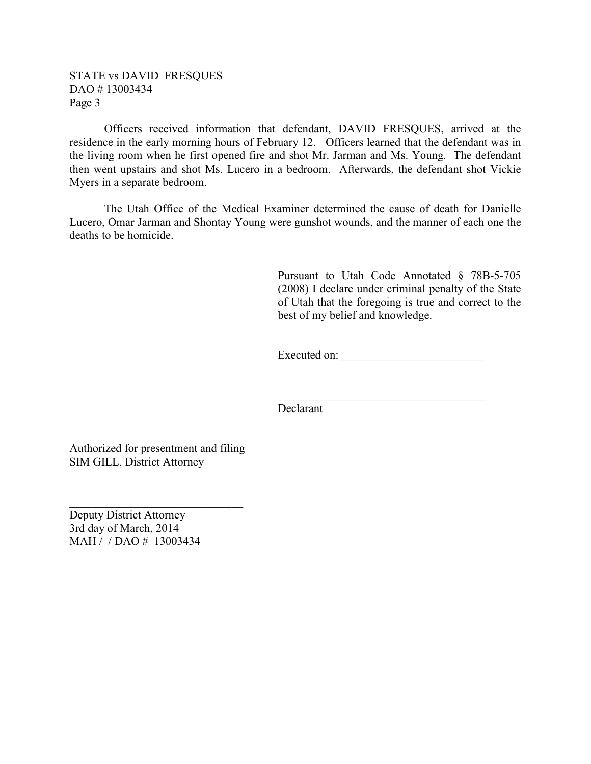## STATE vs DAVID FRESQUES DAO # 13003434 Page 3

Officers received information that defendant, DAVID FRESQUES, arrived at the residence in the early morning hours of February 12. Officers learned that the defendant was in the living room when he first opened fire and shot Mr. Jarman and Ms. Young. The defendant then went upstairs and shot Ms. Lucero in a bedroom. Afterwards, the defendant shot Vickie Myers in a separate bedroom.

The Utah Office of the Medical Examiner determined the cause of death for Danielle Lucero, Omar Jarman and Shontay Young were gunshot wounds, and the manner of each one the deaths to be homicide.

> Pursuant to Utah Code Annotated § 78B-5-705 (2008) I declare under criminal penalty of the State of Utah that the foregoing is true and correct to the best of my belief and knowledge.

Executed on:\_\_\_\_\_\_\_\_\_\_\_\_\_\_\_\_\_\_\_\_\_\_\_\_\_

 $\mathcal{L}_\text{max}$  and  $\mathcal{L}_\text{max}$  and  $\mathcal{L}_\text{max}$  and  $\mathcal{L}_\text{max}$  and  $\mathcal{L}_\text{max}$  and  $\mathcal{L}_\text{max}$ Declarant

Authorized for presentment and filing SIM GILL, District Attorney

\_\_\_\_\_\_\_\_\_\_\_\_\_\_\_\_\_\_\_\_\_\_\_\_\_\_\_\_\_\_

Deputy District Attorney 3rd day of March, 2014 MAH / / DAO # 13003434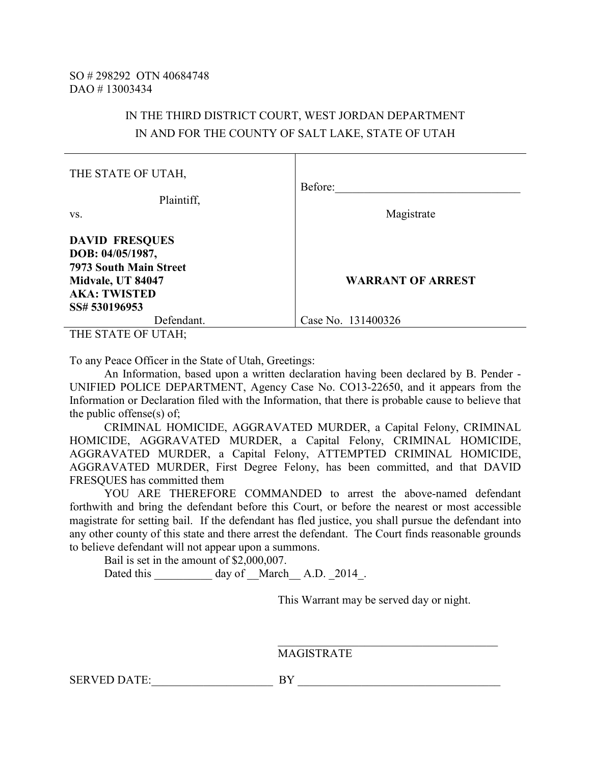## IN THE THIRD DISTRICT COURT, WEST JORDAN DEPARTMENT IN AND FOR THE COUNTY OF SALT LAKE, STATE OF UTAH

| THE STATE OF UTAH,                                                 | Before:                  |  |
|--------------------------------------------------------------------|--------------------------|--|
| Plaintiff,<br>VS.                                                  | Magistrate               |  |
| <b>DAVID FRESQUES</b><br>DOB: 04/05/1987,                          |                          |  |
| 7973 South Main Street<br>Midvale, UT 84047<br><b>AKA: TWISTED</b> | <b>WARRANT OF ARREST</b> |  |
| SS# 530196953<br>Defendant.<br>T                                   | Case No. 131400326       |  |

THE STATE OF UTAH;

To any Peace Officer in the State of Utah, Greetings:

 An Information, based upon a written declaration having been declared by B. Pender - UNIFIED POLICE DEPARTMENT, Agency Case No. CO13-22650, and it appears from the Information or Declaration filed with the Information, that there is probable cause to believe that the public offense(s) of;

CRIMINAL HOMICIDE, AGGRAVATED MURDER, a Capital Felony, CRIMINAL HOMICIDE, AGGRAVATED MURDER, a Capital Felony, CRIMINAL HOMICIDE, AGGRAVATED MURDER, a Capital Felony, ATTEMPTED CRIMINAL HOMICIDE, AGGRAVATED MURDER, First Degree Felony, has been committed, and that DAVID FRESQUES has committed them

 YOU ARE THEREFORE COMMANDED to arrest the above-named defendant forthwith and bring the defendant before this Court, or before the nearest or most accessible magistrate for setting bail. If the defendant has fled justice, you shall pursue the defendant into any other county of this state and there arrest the defendant. The Court finds reasonable grounds to believe defendant will not appear upon a summons.

Bail is set in the amount of \$2,000,007.

Dated this \_\_\_\_\_\_\_\_\_\_\_ day of \_\_March\_\_ A.D. \_2014 .

This Warrant may be served day or night.

 $\mathcal{L}_\text{max}$  , and the contract of the contract of the contract of the contract of the contract of the contract of the contract of the contract of the contract of the contract of the contract of the contract of the contr MAGISTRATE

SERVED DATE: The BY Law BY